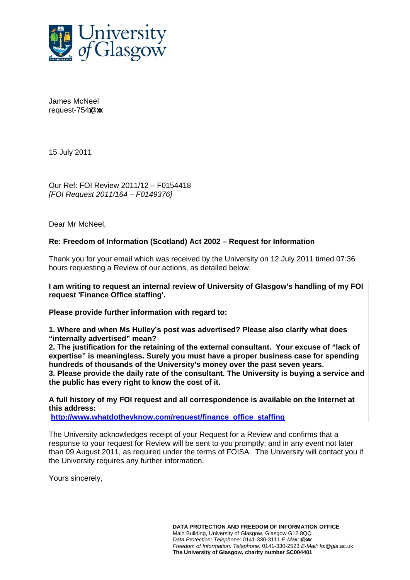

James McNeel request- $754$  $@x$ 

15 July 2011

Our Ref: FOI Review 2011/12 – F0154418 *[FOI Request 2011/164 – F0149376]* 

Dear Mr McNeel,

## **Re: Freedom of Information (Scotland) Act 2002 – Request for Information**

Thank you for your email which was received by the University on 12 July 2011 timed 07:36 hours requesting a Review of our actions, as detailed below.

**I am writing to request an internal review of University of Glasgow's handling of my FOI request 'Finance Office staffing'.** 

**Please provide further information with regard to:** 

**1. Where and when Ms Hulley's post was advertised? Please also clarify what does "internally advertised" mean?** 

**2. The justification for the retaining of the external consultant. Your excuse of "lack of expertise" is meaningless. Surely you must have a proper business case for spending hundreds of thousands of the University's money over the past seven years.** 

**3. Please provide the daily rate of the consultant. The University is buying a service and the public has every right to know the cost of it.** 

**A full history of my FOI request and all correspondence is available on the Internet at this address:** 

**http://www.whatdotheyknow.com/request/finance\_office\_staffing**

The University acknowledges receipt of your Request for a Review and confirms that a response to your request for Review will be sent to you promptly; and in any event not later than 09 August 2011, as required under the terms of FOISA. The University will contact you if the University requires any further information.

Yours sincerely,

**DATA PROTECTION AND FREEDOM OF INFORMATION OFFICE**  Main Building, University of Glasgow, Glasgow G12 8QQ *Data Protection: Telephone: 0141-330-3111 E-Mail: @xx. Freedom of Information: Telephone:* 0141-330-2523 *E-Mail: foi@gla*.ac.uk **The University of Glasgow, charity number SC004401**